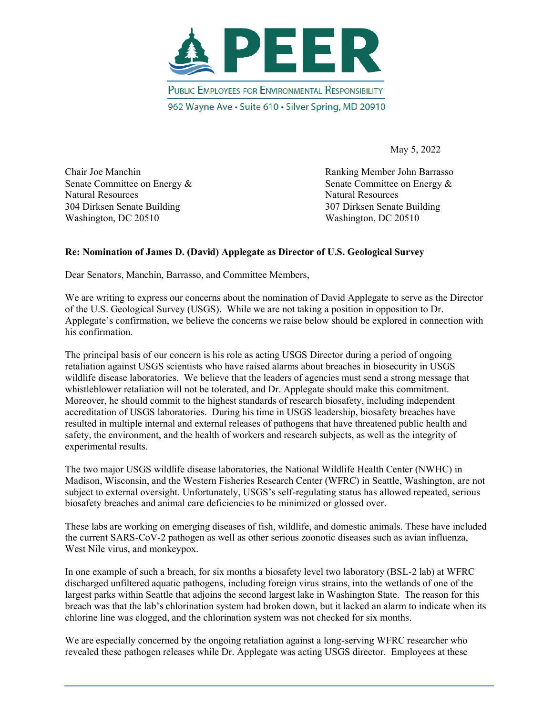

May 5, 2022

Natural Resources Natural Resources 304 Dirksen Senate Building 307 Dirksen Senate Building Washington, DC 20510 Washington, DC 20510

Chair Joe Manchin Ranking Member John Barrasso Senate Committee on Energy & Senate Committee on Energy &

## **Re: Nomination of James D. (David) Applegate as Director of U.S. Geological Survey**

Dear Senators, Manchin, Barrasso, and Committee Members,

We are writing to express our concerns about the nomination of David Applegate to serve as the Director of the U.S. Geological Survey (USGS). While we are not taking a position in opposition to Dr. Applegate's confirmation, we believe the concerns we raise below should be explored in connection with his confirmation.

The principal basis of our concern is his role as acting USGS Director during a period of ongoing retaliation against USGS scientists who have raised alarms about breaches in biosecurity in USGS wildlife disease laboratories. We believe that the leaders of agencies must send a strong message that whistleblower retaliation will not be tolerated, and Dr. Applegate should make this commitment. Moreover, he should commit to the highest standards of research biosafety, including independent accreditation of USGS laboratories. During his time in USGS leadership, biosafety breaches have resulted in multiple internal and external releases of pathogens that have threatened public health and safety, the environment, and the health of workers and research subjects, as well as the integrity of experimental results.

The two major USGS wildlife disease laboratories, the National Wildlife Health Center (NWHC) in Madison, Wisconsin, and the Western Fisheries Research Center (WFRC) in Seattle, Washington, are not subject to external oversight. Unfortunately, USGS's self-regulating status has allowed repeated, serious biosafety breaches and animal care deficiencies to be minimized or glossed over.

These labs are working on emerging diseases of fish, wildlife, and domestic animals. These have included the current SARS-CoV-2 pathogen as well as other serious zoonotic diseases such as avian influenza, West Nile virus, and monkeypox.

In one example of such a breach, for six months a biosafety level two laboratory (BSL-2 lab) at WFRC discharged unfiltered aquatic pathogens, including foreign virus strains, into the wetlands of one of the largest parks within Seattle that adjoins the second largest lake in Washington State. The reason for this breach was that the lab's chlorination system had broken down, but it lacked an alarm to indicate when its chlorine line was clogged, and the chlorination system was not checked for six months.

We are especially concerned by the ongoing retaliation against a long-serving WFRC researcher who revealed these pathogen releases while Dr. Applegate was acting USGS director. Employees at these